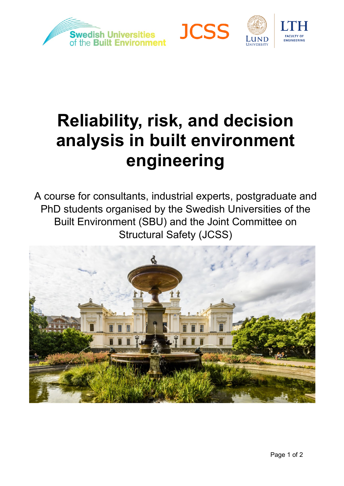





# **Reliability, risk, and decision analysis in built environment engineering**

A course for consultants, industrial experts, postgraduate and PhD students organised by the Swedish Universities of the Built Environment (SBU) and the Joint Committee on Structural Safety (JCSS)